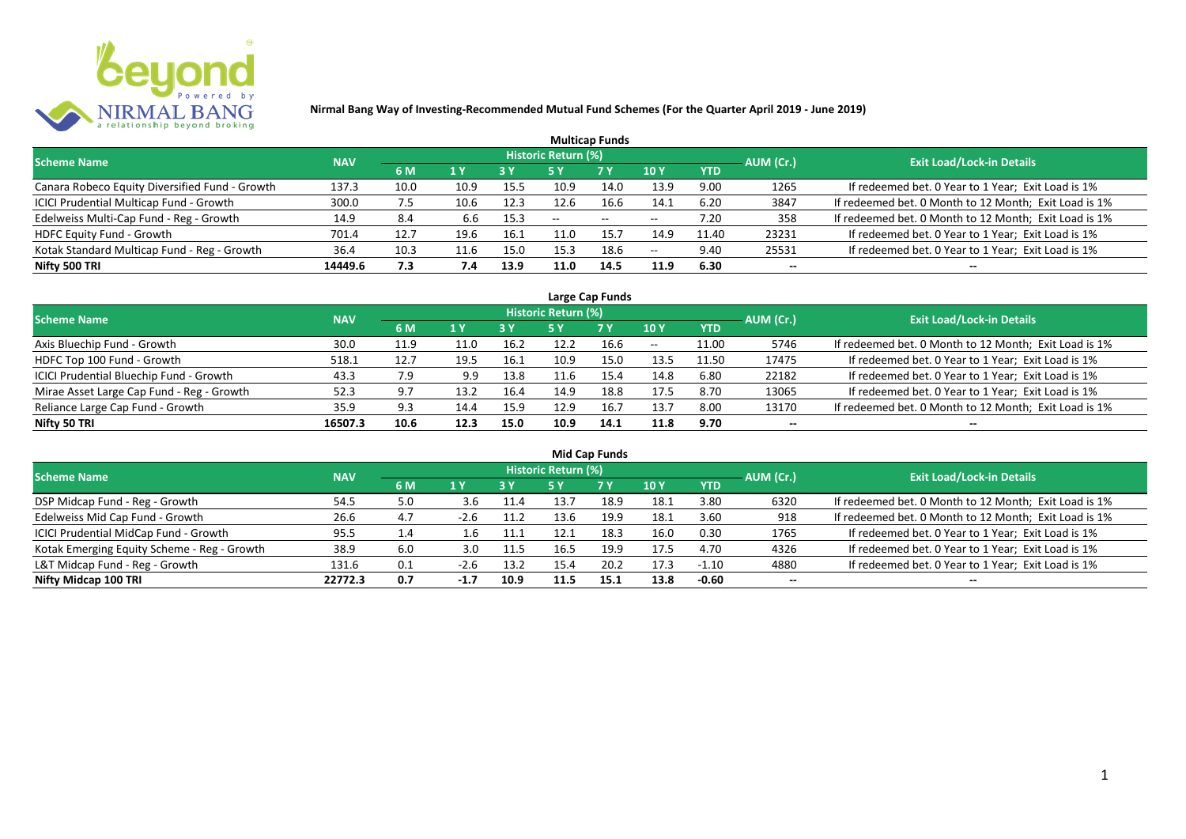

|                                                |            |      |      |            |                            | <b>Multicap Funds</b> |      |            |           |                                                       |
|------------------------------------------------|------------|------|------|------------|----------------------------|-----------------------|------|------------|-----------|-------------------------------------------------------|
| <b>Scheme Name</b>                             | <b>NAV</b> |      |      |            | <b>Historic Return (%)</b> |                       |      |            | AUM (Cr.) | Exit Load/Lock-in Details <sup>1</sup>                |
|                                                |            | 6 M  | 1 Y  | <b>3 Y</b> |                            | <b>7 Y</b>            | 10Y  | <b>YTD</b> |           |                                                       |
| Canara Robeco Equity Diversified Fund - Growth | 137.3      | 10.0 | 10.9 | 15.5       | 10.9                       | 14.0                  | 13.9 | 9.00       | 1265      | If redeemed bet. 0 Year to 1 Year; Exit Load is 1%    |
| ICICI Prudential Multicap Fund - Growth        | 300.0      | 7.5  | 10.6 | 12.3       | 12.6                       | 16.6                  | 14.1 | 6.20       | 3847      | If redeemed bet. 0 Month to 12 Month; Exit Load is 1% |
| Edelweiss Multi-Cap Fund - Reg - Growth        | 14.9       | 8.4  | 6.6  | 15.3       | $- -$                      | $\sim$                | $-$  | 7.20       | 358       | If redeemed bet. 0 Month to 12 Month; Exit Load is 1% |
| HDFC Equity Fund - Growth                      | 701.4      | 12.7 | 19.6 | 16.1       | 11.0                       | 15.7                  | 14.9 | 11.40      | 23231     | If redeemed bet. 0 Year to 1 Year; Exit Load is 1%    |
| Kotak Standard Multicap Fund - Reg - Growth    | 36.4       | 10.3 | 11.6 | 15.0       | 15.3                       | 18.6                  | $-$  | 9.40       | 25531     | If redeemed bet. 0 Year to 1 Year; Exit Load is 1%    |
| Nifty 500 TRI                                  | 14449.6    | 7.3  | 7.4  | 13.9       | 11.0                       | 14.5                  | 11.9 | 6.30       | $- -$     | $- -$                                                 |

| Large Cap Funds                           |            |      |      |      |                            |           |       |            |           |                                                       |  |  |  |
|-------------------------------------------|------------|------|------|------|----------------------------|-----------|-------|------------|-----------|-------------------------------------------------------|--|--|--|
| <b>Scheme Name</b>                        | <b>NAV</b> |      |      |      | <b>Historic Return (%)</b> |           |       |            | AUM (Cr.) | <b>Exit Load/Lock-in Details</b>                      |  |  |  |
|                                           |            | 6 M  | 1 Y  | 3 Y  | 5 Y                        | <b>7Y</b> | 10Y   | <b>YTD</b> |           |                                                       |  |  |  |
| Axis Bluechip Fund - Growth               | 30.0       | 11.9 | 11.0 | 16.2 | 12.2                       | 16.6      | $- -$ | 11.00      | 5746      | If redeemed bet. 0 Month to 12 Month; Exit Load is 1% |  |  |  |
| HDFC Top 100 Fund - Growth                | 518.1      | 12.7 | 19.5 | 16.1 | 10.9                       | 15.0      | 13.5  | 11.50      | 17475     | If redeemed bet. 0 Year to 1 Year; Exit Load is 1%    |  |  |  |
| ICICI Prudential Bluechip Fund - Growth   | 43.3       | 7.9  | 9.9  | 13.8 | 11.6                       | 15.4      | 14.8  | 6.80       | 22182     | If redeemed bet. 0 Year to 1 Year; Exit Load is 1%    |  |  |  |
| Mirae Asset Large Cap Fund - Reg - Growth | 52.3       | 9.7  | 13.2 | 16.4 | 14.9                       | 18.8      | 17.5  | 8.70       | 13065     | If redeemed bet. 0 Year to 1 Year; Exit Load is 1%    |  |  |  |
| Reliance Large Cap Fund - Growth          | 35.9       | 9.3  | 14.4 | 15.9 | 12.9                       | 16.7      | 13.7  | 8.00       | 13170     | If redeemed bet. 0 Month to 12 Month; Exit Load is 1% |  |  |  |
| Nifty 50 TRI                              | 16507.3    | 10.6 | 12.3 | 15.0 | 10.9                       | 14.1      | 11.8  | 9.70       | --        | $- -$                                                 |  |  |  |

| <b>Mid Cap Funds</b>                        |            |     |        |      |                            |      |      |            |                          |                                                       |  |  |  |
|---------------------------------------------|------------|-----|--------|------|----------------------------|------|------|------------|--------------------------|-------------------------------------------------------|--|--|--|
| <b>Scheme Name</b>                          | <b>NAV</b> |     |        |      | <b>Historic Return (%)</b> |      |      |            | AUM (Cr.)                | <b>Exit Load/Lock-in Details</b>                      |  |  |  |
|                                             |            | 6 M | 71 V   | 3 Y  | 5 Y                        | 7 Y  | 10 Y | <b>YTD</b> |                          |                                                       |  |  |  |
| DSP Midcap Fund - Reg - Growth              | 54.5       | 5.0 | 3.b    | 11.4 | 13.7                       | 18.9 | 18.1 | 3.80       | 6320                     | If redeemed bet. 0 Month to 12 Month; Exit Load is 1% |  |  |  |
| Edelweiss Mid Cap Fund - Growth             | 26.6       | 4.7 | $-2.6$ | 11.2 | 13.6                       | 19.9 | 18.1 | 3.60       | 918                      | If redeemed bet. 0 Month to 12 Month; Exit Load is 1% |  |  |  |
| ICICI Prudential MidCap Fund - Growth       | 95.5       | 1.4 | ⊥.b    | 11.1 | 12.1                       | 18.3 | 16.0 | 0.30       | 1765                     | If redeemed bet. 0 Year to 1 Year; Exit Load is 1%    |  |  |  |
| Kotak Emerging Equity Scheme - Reg - Growth | 38.9       | 6.0 | 3.0    | 11.5 | 16.5                       | 19.9 | 17.5 | 4.70       | 4326                     | If redeemed bet. 0 Year to 1 Year; Exit Load is 1%    |  |  |  |
| L&T Midcap Fund - Reg - Growth              | 131.6      | 0.1 | $-2.6$ | 13.2 | 15.4                       | 20.2 | 17.3 | $-1.10$    | 4880                     | If redeemed bet. 0 Year to 1 Year; Exit Load is 1%    |  |  |  |
| Nifty Midcap 100 TRI                        | 22772.3    | 0.7 | $-1.7$ | 10.9 | 11.5                       | 15.1 | 13.8 | $-0.60$    | $\overline{\phantom{a}}$ | --                                                    |  |  |  |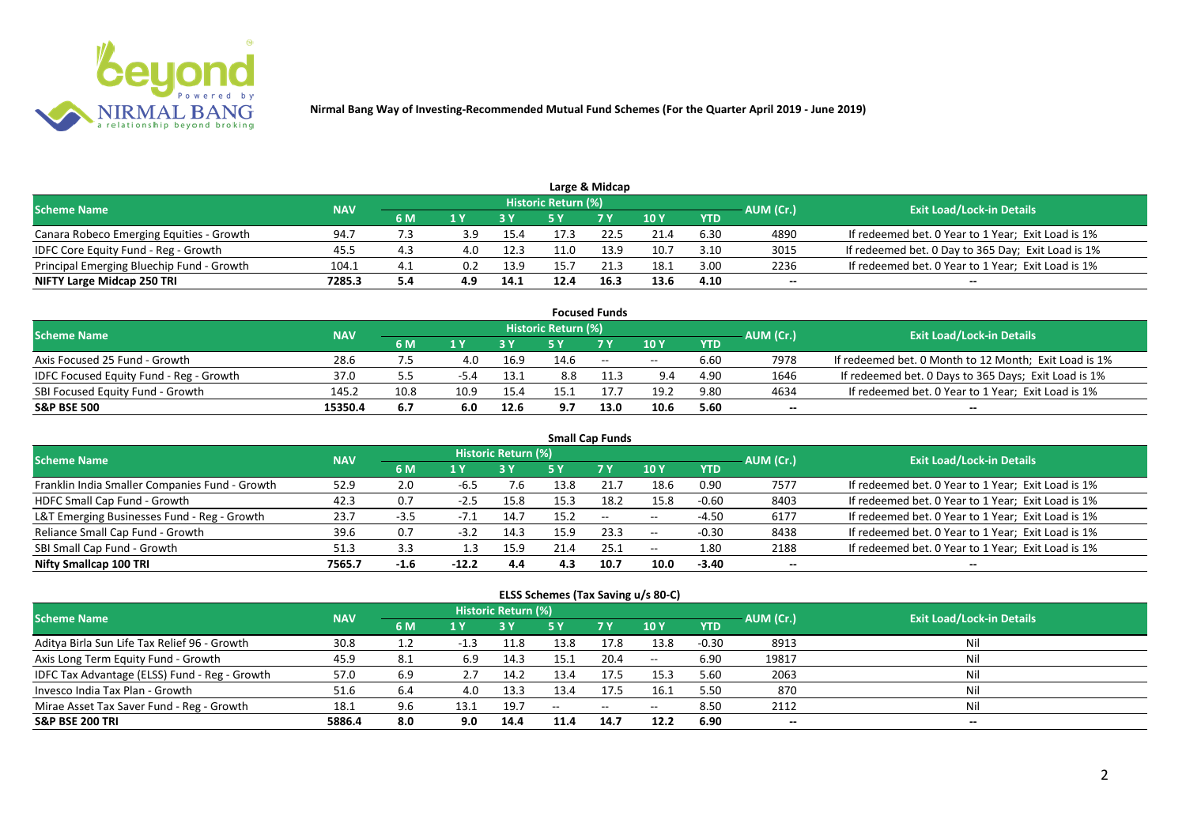

|                                           |            |     |     |      |                     | Large & Midcap |      |            |           |                                                    |
|-------------------------------------------|------------|-----|-----|------|---------------------|----------------|------|------------|-----------|----------------------------------------------------|
| <b>Scheme Name</b>                        | <b>NAV</b> |     |     |      | Historic Return (%) |                |      |            | AUM (Cr.) | <b>Exit Load/Lock-in Details</b>                   |
|                                           |            | 6 M |     |      |                     | 7 V            | 10 Y | <b>YTD</b> |           |                                                    |
| Canara Robeco Emerging Equities - Growth  | 94.7       | 7.3 | 3.9 | 15.4 |                     | 22.5           | 21.4 | 6.30       | 4890      | If redeemed bet. 0 Year to 1 Year; Exit Load is 1% |
| IDFC Core Equity Fund - Reg - Growth      | 45.5       |     | 4.0 | 12.3 | 11.0                | 13.9           | 10.7 | 3.10       | 3015      | If redeemed bet. 0 Day to 365 Day; Exit Load is 1% |
| Principal Emerging Bluechip Fund - Growth | 104.1      |     | 0.2 | 13.9 | 15.7                | 21.3           | 18.1 | 3.00       | 2236      | If redeemed bet. 0 Year to 1 Year; Exit Load is 1% |
| NIFTY Large Midcap 250 TRI                | 7285.3     | 5.4 |     | 14.1 | 12.4                | 16.3           | 13.6 | 4.10       | --        | $- -$                                              |

|                                                |            |      |        |      |                     | <b>Focused Funds</b> |       |            |                  |                                                       |
|------------------------------------------------|------------|------|--------|------|---------------------|----------------------|-------|------------|------------------|-------------------------------------------------------|
| <b>Scheme Name</b>                             | <b>NAV</b> |      |        |      | Historic Return (%) |                      |       |            | <b>AUM</b> (Cr.) | <b>Exit Load/Lock-in Details</b>                      |
|                                                |            | 6 M  | 1 V    |      |                     | 7 Y                  | 10Y   | <b>YTD</b> |                  |                                                       |
| Axis Focused 25 Fund - Growth                  | 28.6       |      | 4.0    | 16.9 | 14.6                | $\sim$               | $- -$ | 6.60       | 7978             | If redeemed bet. 0 Month to 12 Month; Exit Load is 1% |
| <b>IDFC Focused Equity Fund - Reg - Growth</b> | 37.0       | 5.5  | $-5.4$ | 13.1 | 8.8                 |                      | 9.4   | 4.90       | 1646             | If redeemed bet. 0 Days to 365 Days; Exit Load is 1%  |
| SBI Focused Equity Fund - Growth               | 145.2      | 10.8 | 10.9   | 15.4 |                     |                      | 19.2  | 9.80       | 4634             | If redeemed bet. 0 Year to 1 Year; Exit Load is 1%    |
| <b>S&amp;P BSE 500</b>                         | 15350.4    | 6.7  | 6.0    | 12.6 | 9.7                 | 13.0                 | 10.6  | 5.60       | --               | --                                                    |

| <b>Small Cap Funds</b>                         |            |        |         |                     |      |           |            |            |           |                                                    |  |  |  |
|------------------------------------------------|------------|--------|---------|---------------------|------|-----------|------------|------------|-----------|----------------------------------------------------|--|--|--|
| <b>Scheme Name</b>                             | <b>NAV</b> |        |         | Historic Return (%) |      |           |            |            | AUM (Cr.) | <b>Exit Load/Lock-in Details</b>                   |  |  |  |
|                                                |            | 6 M    | 1 Y     |                     | 5 Y  | <b>7Y</b> | <b>10Y</b> | <b>YTD</b> |           |                                                    |  |  |  |
| Franklin India Smaller Companies Fund - Growth | 52.9       | 2.0    | -6.5    | 7.6                 | 13.8 |           | 18.6       | 0.90       | 7577      | If redeemed bet. 0 Year to 1 Year; Exit Load is 1% |  |  |  |
| HDFC Small Cap Fund - Growth                   | 42.3       | 0.7    | $-2.5$  | 15.8                | 15.3 | 18.2      | 15.8       | $-0.60$    | 8403      | If redeemed bet. 0 Year to 1 Year; Exit Load is 1% |  |  |  |
| L&T Emerging Businesses Fund - Reg - Growth    | 23.7       | $-3.5$ | -7.1    | 14.7                | 15.2 | $--$      | $- -$      | $-4.50$    | 6177      | If redeemed bet. 0 Year to 1 Year; Exit Load is 1% |  |  |  |
| Reliance Small Cap Fund - Growth               | 39.6       | 0.7    | $-3.2$  | 14.3                | 15.9 | 23.3      | $- -$      | $-0.30$    | 8438      | If redeemed bet. 0 Year to 1 Year; Exit Load is 1% |  |  |  |
| SBI Small Cap Fund - Growth                    | 51.3       |        |         | 15.9                | 21.4 | 25.1      | $- -$      | 1.80       | 2188      | If redeemed bet. 0 Year to 1 Year; Exit Load is 1% |  |  |  |
| Nifty Smallcap 100 TRI                         | 7565.7     | $-1.6$ | $-12.2$ | 4.4                 | 4.3  | 10.7      | 10.0       | $-3.40$    | --        |                                                    |  |  |  |

#### **ELSS Schemes (Tax Saving u/s 80-C)**

| <b>Scheme Name</b>                            | <b>NAV</b> |     |      | <b>Historic Return (%)</b> |      |                          |                 |            | AUM (Cr.)                | <b>Exit Load/Lock-in Details</b> |
|-----------------------------------------------|------------|-----|------|----------------------------|------|--------------------------|-----------------|------------|--------------------------|----------------------------------|
|                                               |            | 6 M | 1 Y  |                            | 5 Y  | <b>7 Y</b>               | 10 <sub>1</sub> | <b>YTD</b> |                          |                                  |
| Aditya Birla Sun Life Tax Relief 96 - Growth  | 30.8       |     |      | 11.8                       | 13.8 | 17.8                     | 13.8            | $-0.30$    | 8913                     | Nil                              |
| Axis Long Term Equity Fund - Growth           | 45.9       | 8.1 | 6.9  | 14.3                       | 15.1 | 20.4                     | $- -$           | 6.90       | 19817                    | Nil                              |
| IDFC Tax Advantage (ELSS) Fund - Reg - Growth | 57.0       | 6.9 |      | 14.2                       | 13.4 | 17.5                     | 15.3            | 5.60       | 2063                     | Nil                              |
| Invesco India Tax Plan - Growth               | 51.6       | 6.4 | 4.0  | 13.3                       | 13.4 | 17.5                     | 16.1            | 5.50       | 870                      | Nil                              |
| Mirae Asset Tax Saver Fund - Reg - Growth     | 18.1       | 9.6 | 13.1 | 19.7                       | $-$  | $\overline{\phantom{a}}$ | $- -$           | 8.50       | 2112                     | Nil                              |
| <b>S&amp;P BSE 200 TRI</b>                    | 5886.4     | 8.0 | 9.0  | 14.4                       | 11.4 | 14.7                     | 12.2            | 6.90       | $\overline{\phantom{a}}$ | $- -$                            |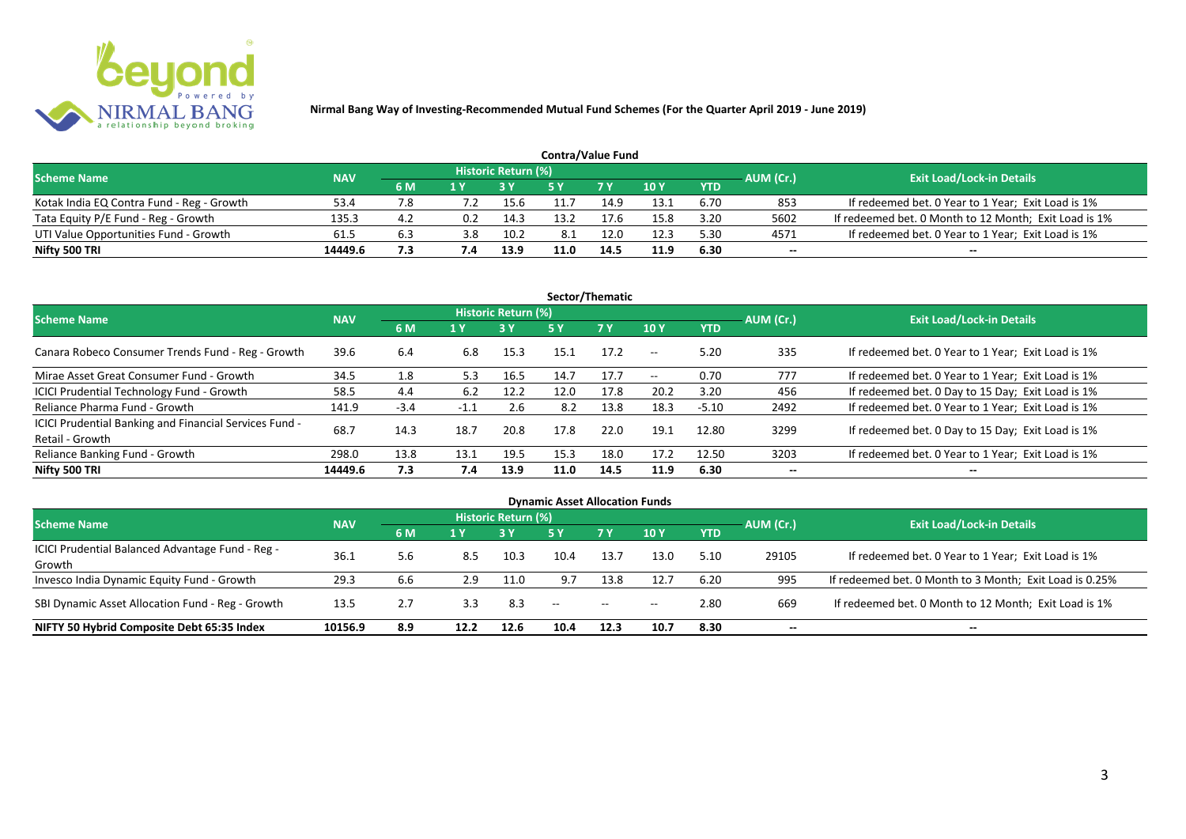

| <b>Contra/Value Fund</b>                  |            |     |     |                     |      |            |      |            |           |                                                       |  |  |  |
|-------------------------------------------|------------|-----|-----|---------------------|------|------------|------|------------|-----------|-------------------------------------------------------|--|--|--|
| <b>Scheme Name</b>                        | <b>NAV</b> |     |     | Historic Return (%) |      |            |      |            | AUM (Cr.) | <b>Exit Load/Lock-in Details</b>                      |  |  |  |
|                                           |            | 6 M | 1 V |                     |      | <b>7 V</b> | 10Y  | <b>YTD</b> |           |                                                       |  |  |  |
| Kotak India EQ Contra Fund - Reg - Growth | 53.4       | 7.8 |     | 15.6                |      | 14.9       | 13.1 | 6.70       | 853       | If redeemed bet. 0 Year to 1 Year; Exit Load is 1%    |  |  |  |
| Tata Equity P/E Fund - Reg - Growth       | 135.3      | 4.2 | 0.2 | 14.3                | 13.2 | 17.6       | 15.8 | 3.20       | 5602      | If redeemed bet. 0 Month to 12 Month; Exit Load is 1% |  |  |  |
| UTI Value Opportunities Fund - Growth     | 61.5       | 6.3 | 3.8 | 10.2                | 8.1  | 12.0       | 12.3 | 5.30       | 4571      | If redeemed bet. 0 Year to 1 Year; Exit Load is 1%    |  |  |  |
| Nifty 500 TRI                             | 14449.6    | 7.3 | 7.4 | 13.9                | 11.0 | 14.5       | 11.9 | 6.30       | --        | $- -$                                                 |  |  |  |

| Sector/Thematic                                                           |            |        |        |                     |      |           |            |            |           |                                                    |  |  |  |
|---------------------------------------------------------------------------|------------|--------|--------|---------------------|------|-----------|------------|------------|-----------|----------------------------------------------------|--|--|--|
| <b>Scheme Name</b>                                                        | <b>NAV</b> |        |        | Historic Return (%) |      |           |            |            | AUM (Cr.) | <b>Exit Load/Lock-in Details</b>                   |  |  |  |
|                                                                           |            | 6 M    | 1 Y    | <b>3Y</b>           | 5 Y  | <b>7Y</b> | <b>10Y</b> | <b>YTD</b> |           |                                                    |  |  |  |
| Canara Robeco Consumer Trends Fund - Reg - Growth                         | 39.6       | 6.4    | 6.8    | 15.3                | 15.1 | 17.2      | $-$        | 5.20       | 335       | If redeemed bet. 0 Year to 1 Year; Exit Load is 1% |  |  |  |
| Mirae Asset Great Consumer Fund - Growth                                  | 34.5       | 1.8    | 5.3    | 16.5                | 14.7 | 17.7      | $- -$      | 0.70       | 777       | If redeemed bet. 0 Year to 1 Year; Exit Load is 1% |  |  |  |
| <b>ICICI Prudential Technology Fund - Growth</b>                          | 58.5       | 4.4    | 6.2    | 12.2                | 12.0 | 17.8      | 20.2       | 3.20       | 456       | If redeemed bet. 0 Day to 15 Day; Exit Load is 1%  |  |  |  |
| Reliance Pharma Fund - Growth                                             | 141.9      | $-3.4$ | $-1.1$ | 2.6                 | 8.2  | 13.8      | 18.3       | $-5.10$    | 2492      | If redeemed bet. 0 Year to 1 Year; Exit Load is 1% |  |  |  |
| ICICI Prudential Banking and Financial Services Fund -<br>Retail - Growth | 68.7       | 14.3   | 18.7   | 20.8                | 17.8 | 22.0      | 19.1       | 12.80      | 3299      | If redeemed bet. 0 Day to 15 Day; Exit Load is 1%  |  |  |  |
| Reliance Banking Fund - Growth                                            | 298.0      | 13.8   | 13.1   | 19.5                | 15.3 | 18.0      | 17.2       | 12.50      | 3203      | If redeemed bet. 0 Year to 1 Year; Exit Load is 1% |  |  |  |
| Nifty 500 TRI                                                             | 14449.6    | 7.3    | 7.4    | 13.9                | 11.0 | 14.5      | 11.9       | 6.30       | $- -$     | $- -$                                              |  |  |  |

| <b>Dynamic Asset Allocation Funds</b>            |            |     |      |                            |      |           |            |            |           |                                                         |  |  |  |
|--------------------------------------------------|------------|-----|------|----------------------------|------|-----------|------------|------------|-----------|---------------------------------------------------------|--|--|--|
| <b>Scheme Name</b>                               | <b>NAV</b> |     |      | <b>Historic Return (%)</b> |      |           |            |            |           | <b>Exit Load/Lock-in Details</b>                        |  |  |  |
|                                                  |            | 6 M | 1 Y  |                            | 5 Y  | <b>7Y</b> | <b>10Y</b> | <b>YTD</b> | AUM (Cr.) |                                                         |  |  |  |
| ICICI Prudential Balanced Advantage Fund - Reg - |            |     |      |                            |      |           |            |            |           |                                                         |  |  |  |
| Growth                                           | 36.3       | 5.6 | 8.5  | 10.3                       | 10.4 | 13.7      | 13.0       | 5.10       | 29105     | If redeemed bet. 0 Year to 1 Year; Exit Load is 1%      |  |  |  |
| Invesco India Dynamic Equity Fund - Growth       | 29.3       | 6.6 | 2.9  | 11.0                       | 9.7  | 13.8      | 12.7       | 6.20       | 995       | If redeemed bet. 0 Month to 3 Month; Exit Load is 0.25% |  |  |  |
| SBI Dynamic Asset Allocation Fund - Reg - Growth | 13.5       | 2.7 | 3.3  | 8.3                        | $-$  | $- -$     | $- -$      | 2.80       | 669       | If redeemed bet. 0 Month to 12 Month; Exit Load is 1%   |  |  |  |
| NIFTY 50 Hybrid Composite Debt 65:35 Index       | 10156.9    | 8.9 | 12.2 | 12.6                       | 10.4 | 12.3      | 10.7       | 8.30       | --        | $- -$                                                   |  |  |  |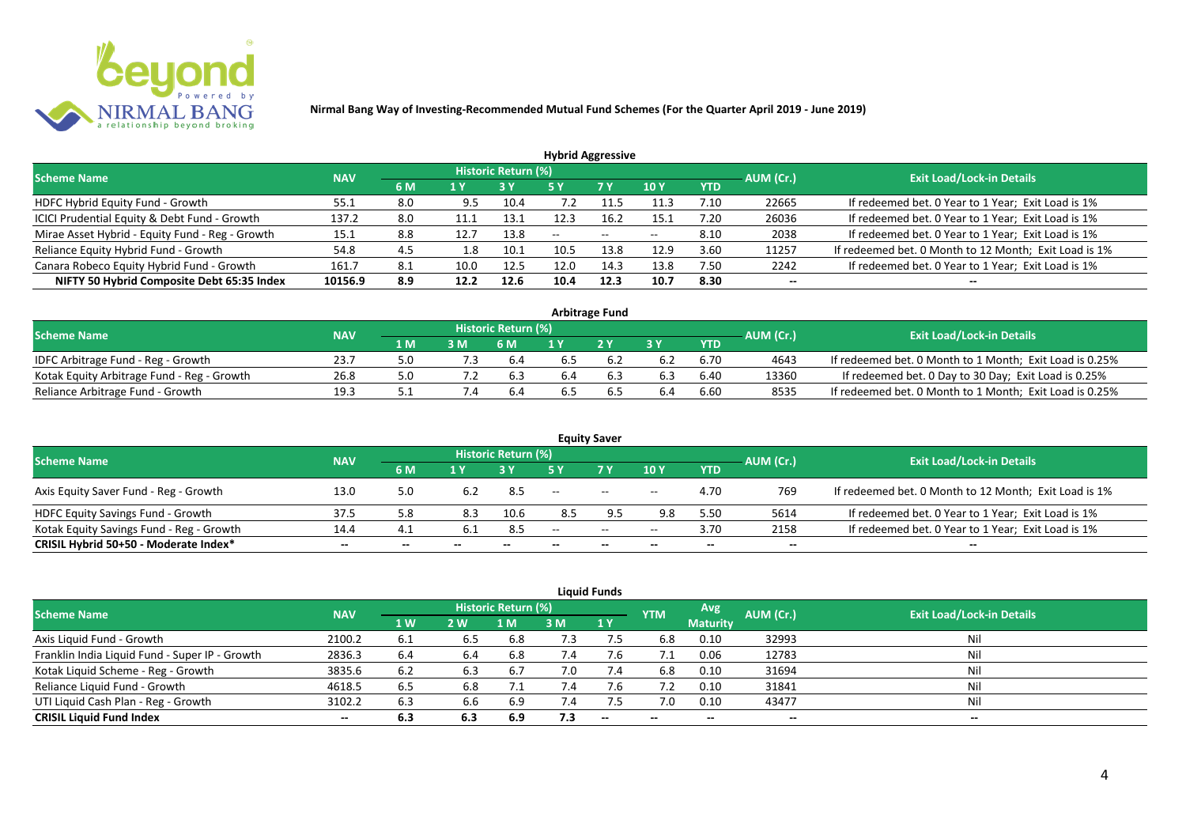

| <b>Hybrid Aggressive</b>                        |            |     |      |                     |               |               |            |            |           |                                                       |  |  |  |
|-------------------------------------------------|------------|-----|------|---------------------|---------------|---------------|------------|------------|-----------|-------------------------------------------------------|--|--|--|
| <b>Scheme Name</b>                              | <b>NAV</b> |     |      | Historic Return (%) |               |               |            |            | AUM (Cr.) | <b>Exit Load/Lock-in Details</b>                      |  |  |  |
|                                                 |            | 6 M | 1 Y  |                     | 5 Y           | 7 Y           | <b>10Y</b> | <b>YTD</b> |           |                                                       |  |  |  |
| HDFC Hybrid Equity Fund - Growth                | 55.1       | 8.0 | 9.5  | 10.4                | $^{\prime}.2$ | 11.5          | 11.3       | 7.10       | 22665     | If redeemed bet. 0 Year to 1 Year; Exit Load is 1%    |  |  |  |
| ICICI Prudential Equity & Debt Fund - Growth    | 137.2      | 8.0 |      | 13.1                |               | 16.2          | 15.1       | 7.20       | 26036     | If redeemed bet. 0 Year to 1 Year; Exit Load is 1%    |  |  |  |
| Mirae Asset Hybrid - Equity Fund - Reg - Growth | 15.1       | 8.8 | 12.7 | 13.8                | $\sim$        | $\sim$ $\sim$ | $- -$      | 8.10       | 2038      | If redeemed bet. 0 Year to 1 Year; Exit Load is 1%    |  |  |  |
| Reliance Equity Hybrid Fund - Growth            | 54.8       | 4.5 | 1.8  | 10.1                | 10.5          | 13.8          | 12.9       | 3.60       | 11257     | If redeemed bet. 0 Month to 12 Month; Exit Load is 1% |  |  |  |
| Canara Robeco Equity Hybrid Fund - Growth       | 161.7      | 8.1 | 10.0 | 12.5                | 12.0          | 14.3          | 13.8       | 7.50       | 2242      | If redeemed bet. 0 Year to 1 Year; Exit Load is 1%    |  |  |  |
| NIFTY 50 Hybrid Composite Debt 65:35 Index      | 10156.9    | 8.9 | 12.2 | 12.6                | 10.4          | 12.3          | 10.7       | 8.30       | --        |                                                       |  |  |  |
|                                                 |            |     |      |                     |               |               |            |            |           |                                                       |  |  |  |

| <b>Arbitrage Fund</b>                      |            |       |     |                            |     |     |     |            |           |                                                         |  |  |  |
|--------------------------------------------|------------|-------|-----|----------------------------|-----|-----|-----|------------|-----------|---------------------------------------------------------|--|--|--|
| <b>Scheme Name</b>                         | <b>NAV</b> |       |     | <b>Historic Return (%)</b> |     |     |     |            | AUM (Cr.) | <b>Exit Load/Lock-in Details</b>                        |  |  |  |
|                                            |            | 1 M.  |     | 6 M                        |     | 2V  |     | <b>YTD</b> |           |                                                         |  |  |  |
| IDFC Arbitrage Fund - Reg - Growth         | 23.7       |       | 7.3 | 6.4                        | b.5 |     | 6.2 | 6.70       | 4643      | If redeemed bet. 0 Month to 1 Month; Exit Load is 0.25% |  |  |  |
| Kotak Equity Arbitrage Fund - Reg - Growth | 26.8       | 5.0   |     | 6.3                        | 6.4 | b.3 | 6.3 | 6.40       | 13360     | If redeemed bet. 0 Day to 30 Day; Exit Load is 0.25%    |  |  |  |
| Reliance Arbitrage Fund - Growth           | 19.3       | ـ . ـ |     |                            | כ.מ |     | 6.4 | 6.60       | 8535      | If redeemed bet. 0 Month to 1 Month; Exit Load is 0.25% |  |  |  |

|                                          |            |       |       |                     |                          | <b>Equity Saver</b> |                          |            |                          |                                                       |
|------------------------------------------|------------|-------|-------|---------------------|--------------------------|---------------------|--------------------------|------------|--------------------------|-------------------------------------------------------|
| <b>Scheme Name</b>                       | <b>NAV</b> |       |       | Historic Return (%) |                          |                     |                          |            |                          | <b>Exit Load/Lock-in Details</b>                      |
|                                          |            | 6 M   |       |                     |                          | <b>7 Y</b>          | <b>10Y</b>               | <b>YTD</b> | AUM (Cr.)                |                                                       |
| Axis Equity Saver Fund - Reg - Growth    | 13.0       | 5.0   |       | 8.5                 | $\overline{\phantom{a}}$ | $\sim$              | $- -$                    | 4.70       | 769                      | If redeemed bet. 0 Month to 12 Month; Exit Load is 1% |
| HDFC Equity Savings Fund - Growth        | 37.5       | 5.8   | 8.3   | 10.6                | 8.5                      |                     | 9.8                      | 5.5C       | 5614                     | If redeemed bet. 0 Year to 1 Year; Exit Load is 1%    |
| Kotak Equity Savings Fund - Reg - Growth | 14.4       | 4.1   | -6.1  | 8.5                 | $-$                      | $\sim$ $\sim$       | $- -$                    | 3.70       | 2158                     | If redeemed bet. 0 Year to 1 Year; Exit Load is 1%    |
| CRISIL Hybrid 50+50 - Moderate Index*    | $- -$      | $- -$ | $- -$ | $- -$               |                          | $- -$               | $\overline{\phantom{a}}$ | $- -$      | $\overline{\phantom{a}}$ | $- -$                                                 |

| <b>Liquid Funds</b>                            |            |           |     |                     |             |       |            |                 |                          |                                  |  |  |  |  |
|------------------------------------------------|------------|-----------|-----|---------------------|-------------|-------|------------|-----------------|--------------------------|----------------------------------|--|--|--|--|
| Scheme Name                                    | <b>NAV</b> |           |     | Historic Return (%) |             |       | <b>YTM</b> | Avg.            | AUM (Cr.)                | <b>Exit Load/Lock-in Details</b> |  |  |  |  |
|                                                |            | <b>1W</b> | 2 W | 1 M                 | 3 M         | 1Y    |            | <b>Maturity</b> |                          |                                  |  |  |  |  |
| Axis Liquid Fund - Growth                      | 2100.2     | -6.1      | 6.5 | 6.8                 | 7.3         |       | 6.8        | 0.10            | 32993                    | Nil                              |  |  |  |  |
| Franklin India Liquid Fund - Super IP - Growth | 2836.3     | 6.4       | 6.4 | 6.8                 |             | 7.6   |            | 0.06            | 12783                    | Nil                              |  |  |  |  |
| Kotak Liquid Scheme - Reg - Growth             | 3835.6     | 6.2       | 6.3 | 6.7                 | 7.0         | 7.4   | 6.8        | 0.10            | 31694                    | Nil                              |  |  |  |  |
| Reliance Liquid Fund - Growth                  | 4618.5     | 6.5       | 6.8 |                     | $\sqrt{.4}$ | 7.6   | 7.2        | 0.10            | 31841                    | Nil                              |  |  |  |  |
| UTI Liquid Cash Plan - Reg - Growth            | 3102.2     | 6.3       | 6.6 | 6.9                 | 7.4         |       | 7.0        | 0.10            | 43477                    | Nil                              |  |  |  |  |
| <b>CRISIL Liquid Fund Index</b>                | $- -$      | 6.3       | 6.3 | 6.9                 | 7.3         | $- -$ | $- -$      | --              | $\overline{\phantom{a}}$ | $-$                              |  |  |  |  |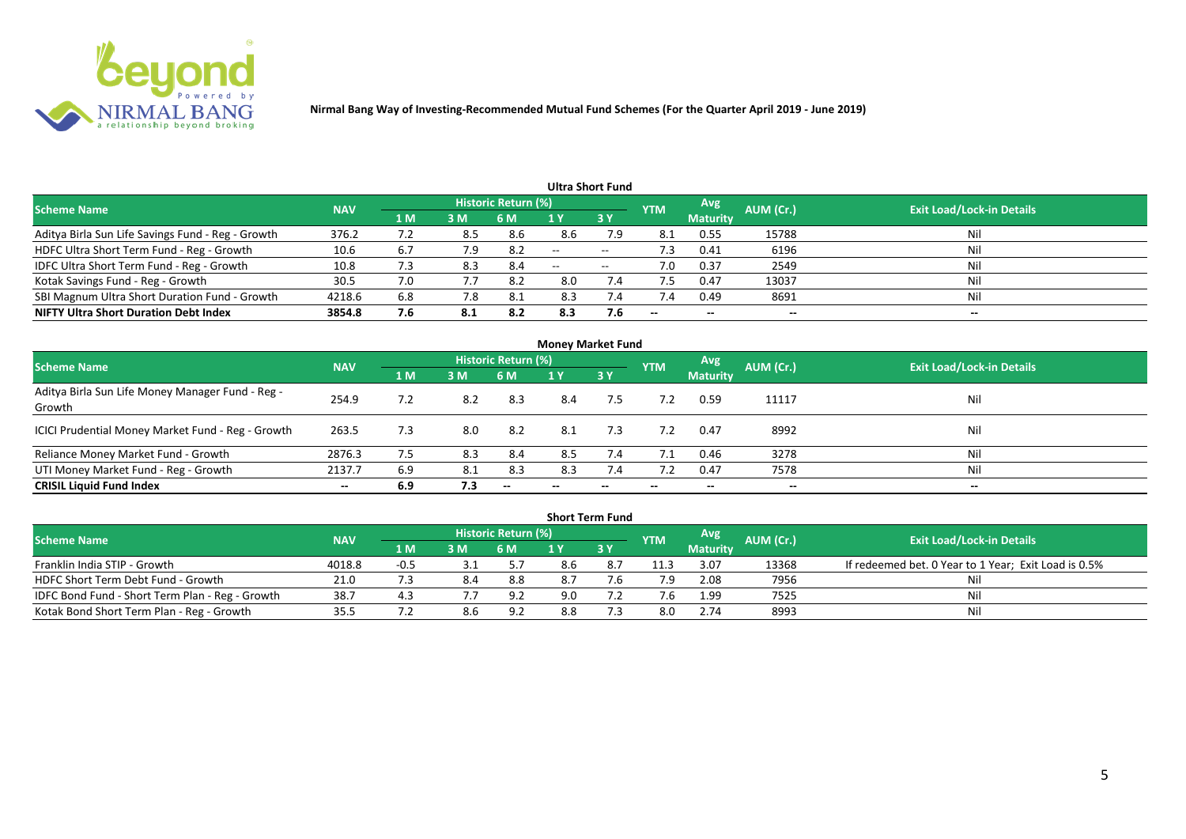

|                                                   |            |     |     |                            |       | Ultra Short Fund  |                          |                 |           |                                  |
|---------------------------------------------------|------------|-----|-----|----------------------------|-------|-------------------|--------------------------|-----------------|-----------|----------------------------------|
| <b>Scheme Name</b>                                | <b>NAV</b> |     |     | <b>Historic Return (%)</b> |       |                   | <b>YTM</b>               | Avg             | AUM (Cr.) | <b>Exit Load/Lock-in Details</b> |
|                                                   |            | 1 M | 3M  | 6 M                        |       | 3Y                |                          | <b>Maturity</b> |           |                                  |
| Aditya Birla Sun Life Savings Fund - Reg - Growth | 376.2      | 7.2 | 8.5 | 8.6                        | 8.6   | 7.9               | 8.1                      | 0.55            | 15788     | Nil                              |
| HDFC Ultra Short Term Fund - Reg - Growth         | 10.6       |     | 7.9 | 8.2                        | $-$   | $- -$             | د. ا                     | 0.41            | 6196      | Nil                              |
| IDFC Ultra Short Term Fund - Reg - Growth         | 10.8       | 7.3 | 8.3 | 8.4                        | $- -$ | $\hspace{0.05cm}$ | 7.0                      | 0.37            | 2549      | Nil                              |
| Kotak Savings Fund - Reg - Growth                 | 30.5       | 7.0 | 7.7 | 8.2                        | 8.0   | 7.4               |                          | 0.47            | 13037     | Nil                              |
| SBI Magnum Ultra Short Duration Fund - Growth     | 4218.6     | 6.8 | 7.8 | -8.1                       | 8.3   | 7.4               | 7.4                      | 0.49            | 8691      | Nil                              |
| <b>NIFTY Ultra Short Duration Debt Index</b>      | 3854.8     | 7.6 |     | 8.2                        | 8.3   | 7.6               | $\overline{\phantom{a}}$ | $- -$           | --        | $- -$                            |

| <b>Money Market Fund</b>                                   |            |                |     |                          |       |           |                          |                 |           |                                  |  |  |  |
|------------------------------------------------------------|------------|----------------|-----|--------------------------|-------|-----------|--------------------------|-----------------|-----------|----------------------------------|--|--|--|
| <b>Scheme Name</b>                                         | <b>NAV</b> |                |     | Historic Return (%)      |       |           | <b>YTM</b>               | Avg             | AUM (Cr.) | <b>Exit Load/Lock-in Details</b> |  |  |  |
|                                                            |            | 1 <sub>M</sub> | 3 M | 6 M                      | 1 Y   | <b>3Y</b> |                          | <b>Maturity</b> |           |                                  |  |  |  |
| Aditya Birla Sun Life Money Manager Fund - Reg -<br>Growth | 254.9      | 7.2            | 8.2 | 8.3                      | 8.4   | 7.5       | 7.2                      | 0.59            | 11117     | Nil                              |  |  |  |
| ICICI Prudential Money Market Fund - Reg - Growth          | 263.5      | 7.3            | 8.0 | -8.2                     | 8.1   | 7.3       | 7.2                      | 0.47            | 8992      | Nil                              |  |  |  |
| Reliance Money Market Fund - Growth                        | 2876.3     | 7.5            | 8.3 | 8.4                      | 8.5   | 7.4       | 7.1                      | 0.46            | 3278      | Nil                              |  |  |  |
| UTI Money Market Fund - Reg - Growth                       | 2137.7     | 6.9            | 8.1 | 8.3                      | 8.3   | 7.4       |                          | 0.47            | 7578      | Nil                              |  |  |  |
| <b>CRISIL Liquid Fund Index</b>                            | $- -$      | 6.9            | 7.3 | $\overline{\phantom{a}}$ | $- -$ | $- -$     | $\overline{\phantom{a}}$ | $- -$           | $- -$     | $- -$                            |  |  |  |

| <b>Short Term Fund</b>                          |            |                   |     |                            |     |             |            |                 |           |                                                      |  |  |  |
|-------------------------------------------------|------------|-------------------|-----|----------------------------|-----|-------------|------------|-----------------|-----------|------------------------------------------------------|--|--|--|
| <b>Scheme Name</b>                              | <b>NAV</b> |                   |     | <b>Historic Return (%)</b> |     |             | <b>YTM</b> | Avg             | AUM (Cr.) | <b>Exit Load/Lock-in Details</b>                     |  |  |  |
|                                                 |            | $\overline{1}$ MZ | 3M  | '6 M                       |     | <b>73 Y</b> |            | <b>Maturity</b> |           |                                                      |  |  |  |
| Franklin India STIP - Growth                    | 4018.8     | $-0.5$            |     | 5.7                        | 8.6 | 8.7         | 11.3       | 3.07            | 13368     | If redeemed bet. 0 Year to 1 Year; Exit Load is 0.5% |  |  |  |
| HDFC Short Term Debt Fund - Growth              | 21.0       |                   | 8.4 | 8.8                        | 8.7 |             | 7.9        | 2.08            | 7956      | Nil                                                  |  |  |  |
| IDFC Bond Fund - Short Term Plan - Reg - Growth | 38.7       | 4.3               |     | 9.2                        | 9.0 |             |            | 1.99            | 7525      | Nil                                                  |  |  |  |
| Kotak Bond Short Term Plan - Reg - Growth       | 35.5       | ، ۷               | 8.6 | 9.2                        | 8.8 |             | 8.0        | 2.74            | 8993      | Nil                                                  |  |  |  |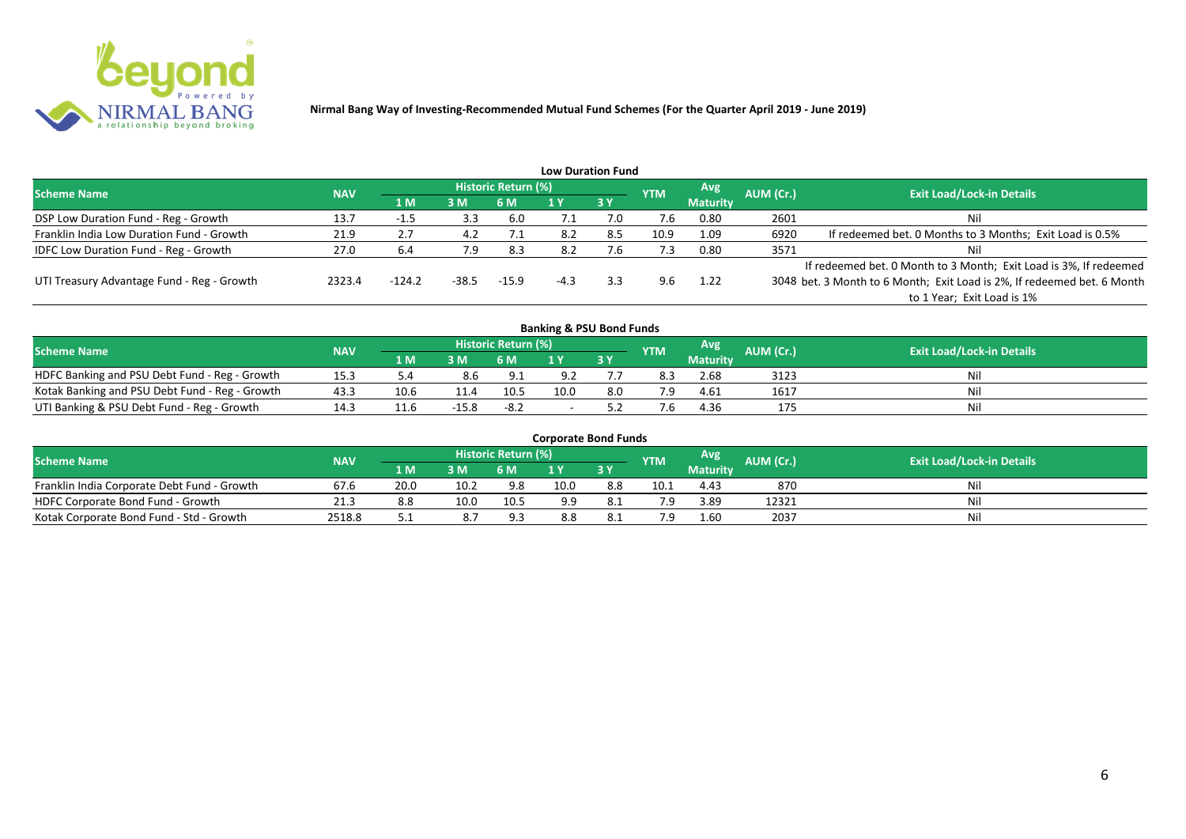

|                                              |            |            |       |                     |        | <b>Low Duration Fund</b> |            |                 |           |                                                                         |
|----------------------------------------------|------------|------------|-------|---------------------|--------|--------------------------|------------|-----------------|-----------|-------------------------------------------------------------------------|
| <b>Scheme Name</b>                           | <b>NAV</b> |            |       | Historic Return (%) |        |                          | <b>YTM</b> | Avg             | AUM (Cr.) | <b>Exit Load/Lock-in Details</b>                                        |
|                                              |            | <b>1 M</b> | 3M    | 6 M                 |        | 3Y                       |            | <b>Maturity</b> |           |                                                                         |
| DSP Low Duration Fund - Reg - Growth         | 13.7       | -1.5       | 3.3   | 6.0                 | 7.1    | 7.0                      | 7.6        | 0.80            | 2601      | Nil                                                                     |
| Franklin India Low Duration Fund - Growth    | 21.9       | 2.7        | 4.2   | 7.1                 | 8.2    | 8.5                      | 10.9       | 1.09            | 6920      | If redeemed bet. 0 Months to 3 Months; Exit Load is 0.5%                |
| <b>IDFC Low Duration Fund - Reg - Growth</b> | 27.0       | 6.4        | 7.9   | 8.3                 | 8.2    | 4.6                      | 7.3        | 0.80            | 3571      | Nil                                                                     |
|                                              |            |            |       |                     |        |                          |            |                 |           | If redeemed bet. 0 Month to 3 Month; Exit Load is 3%, If redeemed       |
| UTI Treasury Advantage Fund - Reg - Growth   | 2323.4     | $-124.2$   | -38.5 | $-15.9$             | $-4.3$ | 3.3                      | 9.6        | 1.22            |           | 3048 bet. 3 Month to 6 Month; Exit Load is 2%, If redeemed bet. 6 Month |
|                                              |            |            |       |                     |        |                          |            |                 |           | to 1 Year; Exit Load is 1%                                              |
|                                              |            |            |       |                     |        |                          |            |                 |           |                                                                         |

| <b>Banking &amp; PSU Bond Funds</b>            |            |      |         |                     |      |     |            |                 |           |                                  |  |  |  |
|------------------------------------------------|------------|------|---------|---------------------|------|-----|------------|-----------------|-----------|----------------------------------|--|--|--|
| <b>Scheme Name</b>                             | <b>NAV</b> |      |         | Historic Return (%) |      |     | <b>YTM</b> | Avg             | AUM (Cr.) | <b>Exit Load/Lock-in Details</b> |  |  |  |
|                                                |            | 1 M  | 3M      | 6 M                 |      | 3Y  |            | <b>Maturity</b> |           |                                  |  |  |  |
| HDFC Banking and PSU Debt Fund - Reg - Growth  | 15.3       |      | 8.6     | 9.1                 |      |     | 8.3        | 2.68            | 3123      | Nil                              |  |  |  |
| Kotak Banking and PSU Debt Fund - Reg - Growth | 43.3       | 10.6 | 11.4    | 10.5                | 10.0 | 8.0 |            | 4.61            | 1617      | Nil                              |  |  |  |
| UTI Banking & PSU Debt Fund - Reg - Growth     | 14.3       | 11.6 | $-15.8$ | $-8.2$              |      |     |            | 4.36            | 175       | Nil                              |  |  |  |

| <b>Corporate Bond Funds</b>                 |            |      |      |                     |      |      |            |                 |           |                                  |  |  |  |
|---------------------------------------------|------------|------|------|---------------------|------|------|------------|-----------------|-----------|----------------------------------|--|--|--|
| <b>Scheme Name</b>                          | <b>NAV</b> |      |      | Historic Return (%) |      |      | <b>YTM</b> | Avg'            | AUM (Cr.) | <b>Exit Load/Lock-in Details</b> |  |  |  |
|                                             |            | 1 M  | 3 M  |                     |      | 3Y   |            | <b>Maturity</b> |           |                                  |  |  |  |
| Franklin India Corporate Debt Fund - Growth | 67.6       | 20.0 | 10.2 | 9.8                 | 10.0 | 8.8  | 10.1       | 4.43            | 870       | Nil                              |  |  |  |
| HDFC Corporate Bond Fund - Growth           | 21.3       | 8.8  | 10.0 | 10.5                | 9.9  |      |            | 3.89            | 12321     | Nil                              |  |  |  |
| Kotak Corporate Bond Fund - Std - Growth    | 2518.8     | ے ر  | 8.7  | 9.3                 | 8.8  | 8. L |            | 1.60            | 2037      | Nil                              |  |  |  |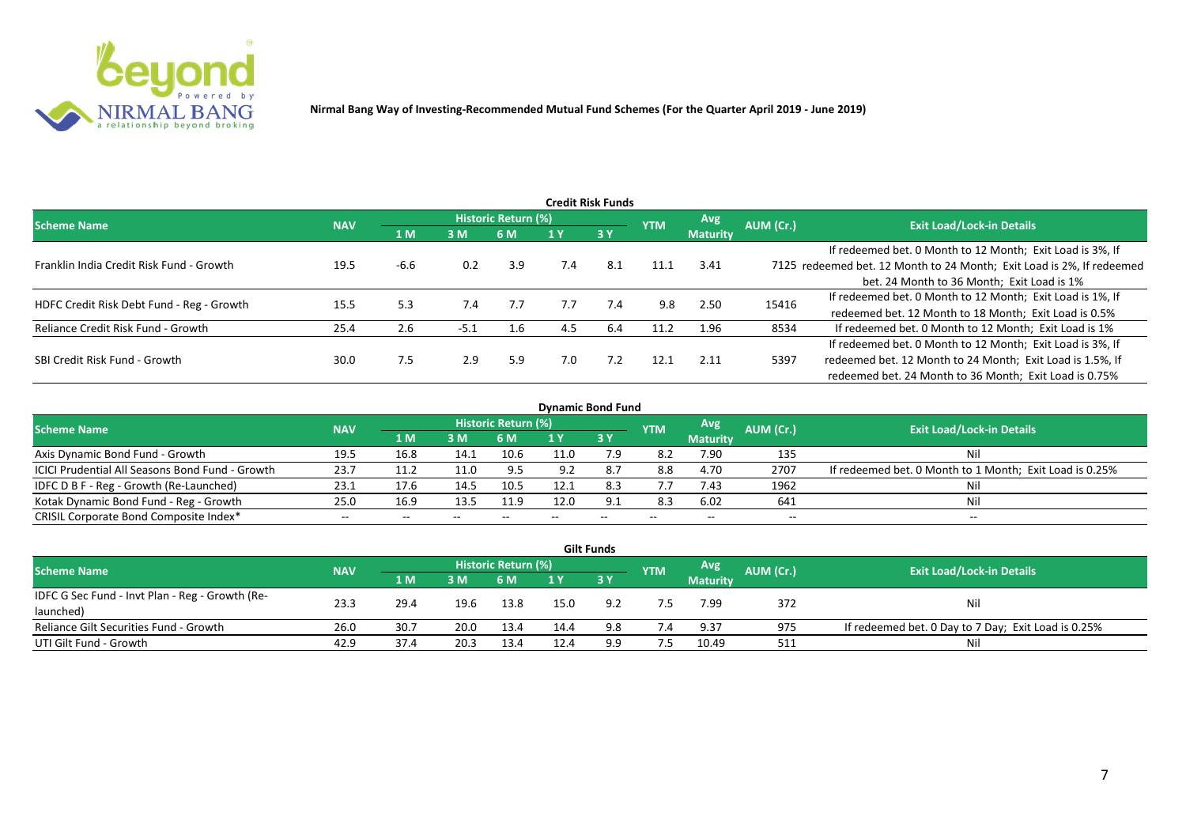

|                                           |            |        |        |                     |     | <b>Credit Risk Funds</b> |            |                 |           |                                                                       |
|-------------------------------------------|------------|--------|--------|---------------------|-----|--------------------------|------------|-----------------|-----------|-----------------------------------------------------------------------|
| <b>Scheme Name</b>                        | <b>NAV</b> |        |        | Historic Return (%) |     |                          | <b>YTM</b> | Avg.            | AUM (Cr.) | <b>Exit Load/Lock-in Details</b>                                      |
|                                           |            | 1 M    | 3M     | 6 M                 |     | 3 Y                      |            | <b>Maturity</b> |           |                                                                       |
|                                           |            |        |        |                     |     |                          |            |                 |           | If redeemed bet. 0 Month to 12 Month; Exit Load is 3%, If             |
| Franklin India Credit Risk Fund - Growth  | 19.5       | $-6.6$ | 0.2    | 3.9                 | 7.4 | 8.1                      | 11.1       | 3.41            |           | 7125 redeemed bet. 12 Month to 24 Month; Exit Load is 2%, If redeemed |
|                                           |            |        |        |                     |     |                          |            |                 |           | bet. 24 Month to 36 Month; Exit Load is 1%                            |
| HDFC Credit Risk Debt Fund - Reg - Growth | 15.5       | 5.3    | 7.4    | 7.7                 | 7.7 | 7.4                      | 9.8        | 2.50            | 15416     | If redeemed bet. 0 Month to 12 Month; Exit Load is 1%, If             |
|                                           |            |        |        |                     |     |                          |            |                 |           | redeemed bet. 12 Month to 18 Month; Exit Load is 0.5%                 |
| Reliance Credit Risk Fund - Growth        | 25.4       | 2.6    | $-5.1$ | 1.6                 | 4.5 | 6.4                      | 11.2       | 1.96            | 8534      | If redeemed bet. 0 Month to 12 Month; Exit Load is 1%                 |
|                                           |            |        |        |                     |     |                          |            |                 |           | If redeemed bet. 0 Month to 12 Month; Exit Load is 3%, If             |
| SBI Credit Risk Fund - Growth             | 30.0       | 7.5    | 2.9    | 5.9                 | 7.0 | 7.2                      | 12.1       | 2.11            | 5397      | redeemed bet. 12 Month to 24 Month; Exit Load is 1.5%, If             |
|                                           |            |        |        |                     |     |                          |            |                 |           | redeemed bet. 24 Month to 36 Month; Exit Load is 0.75%                |

| <b>Dynamic Bond Fund</b>                               |            |       |       |                     |      |            |            |                 |           |                                                         |  |  |  |  |
|--------------------------------------------------------|------------|-------|-------|---------------------|------|------------|------------|-----------------|-----------|---------------------------------------------------------|--|--|--|--|
| <b>Scheme Name</b>                                     | <b>NAV</b> |       |       | Historic Return (%) |      |            | <b>YTM</b> | Avg             | AUM (Cr.) | <b>Exit Load/Lock-in Details</b>                        |  |  |  |  |
|                                                        |            | 1 M   | 3M    | 6 M                 |      | <b>3 Y</b> |            | <b>Maturity</b> |           |                                                         |  |  |  |  |
| Axis Dynamic Bond Fund - Growth                        | 19.5       | 16.8  | 14.1  | 10.6                | 11.0 | 7.9        | -8.2       | 7.90            | 135       | Nil                                                     |  |  |  |  |
| <b>ICICI Prudential All Seasons Bond Fund - Growth</b> | 23.7       | 11.2  | 11.0  | 9.5                 |      |            | 8.8        | 4.70            | 2707      | If redeemed bet. 0 Month to 1 Month; Exit Load is 0.25% |  |  |  |  |
| IDFC D B F - Reg - Growth (Re-Launched)                | 23.1       | 17.6  | 14.5  | 10.5                | 12.1 | 8.3        |            | 7.43            | 1962      |                                                         |  |  |  |  |
| Kotak Dynamic Bond Fund - Reg - Growth                 | 25.0       | 16.9  | 13.5  | 11.9                | 12.0 | 9.1        | 8.3        | 6.02            | 641       | Nil                                                     |  |  |  |  |
| CRISIL Corporate Bond Composite Index*                 | $- -$      | $- -$ | $- -$ |                     | $-$  | $- -$      | $- -$      | $- -$           | $- -$     | $- -$                                                   |  |  |  |  |

|                                                 |            |             |      |                            |      | <b>Gilt Funds</b> |            |                 |           |                                                     |
|-------------------------------------------------|------------|-------------|------|----------------------------|------|-------------------|------------|-----------------|-----------|-----------------------------------------------------|
| <b>Scheme Name</b>                              | <b>NAV</b> |             |      | <b>Historic Return (%)</b> |      |                   | <b>YTM</b> | <b>Avg</b>      | AUM (Cr.) | <b>Exit Load/Lock-in Details</b>                    |
|                                                 |            | <b>1 MZ</b> | 3M   | 6 M                        | 1 Y  | $-3V$             |            | <b>Maturity</b> |           |                                                     |
| IDFC G Sec Fund - Invt Plan - Reg - Growth (Re- | 23.3       |             |      |                            | 15.0 | 9.2               |            | 7.99            | 372       |                                                     |
| launched)                                       |            | 29.4        | 19.6 | 13.8                       |      |                   |            |                 |           | Nil                                                 |
| Reliance Gilt Securities Fund - Growth          | 26.0       | 30.7        | 20.0 | 13.4                       | 14.4 | 9.8               | 7.4        | 9.37            | 975       | If redeemed bet. 0 Day to 7 Day; Exit Load is 0.25% |
| UTI Gilt Fund - Growth                          | 42.9       | 37.4        | 20.3 | 13.4                       | 12.4 | 9.9               | 7.5        | 10.49           | 511       | Nil                                                 |